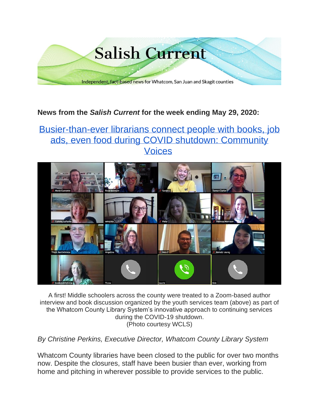

### **News from the** *Salish Current* **for the week ending May 29, 2020:**

# [Busier-than-ever librarians connect people with books, job](https://salish-current.org/2020/05/29/busier-than-ever-librarians-connect-people-with-books-job-ads-even-food-during-covid-shutdown-community-voices/)  ads, even food during [COVID shutdown: Community](https://salish-current.org/2020/05/29/busier-than-ever-librarians-connect-people-with-books-job-ads-even-food-during-covid-shutdown-community-voices/)  [Voices](https://salish-current.org/2020/05/29/busier-than-ever-librarians-connect-people-with-books-job-ads-even-food-during-covid-shutdown-community-voices/)



A first! Middle schoolers across the county were treated to a Zoom-based author interview and book discussion organized by the youth services team (above) as part of the Whatcom County Library System's innovative approach to continuing services during the COVID-19 shutdown. (Photo courtesy WCLS)

*By Christine Perkins, Executive Director, Whatcom County Library System*

Whatcom County libraries have been closed to the public for over two months now. Despite the closures, staff have been busier than ever, working from home and pitching in wherever possible to provide services to the public.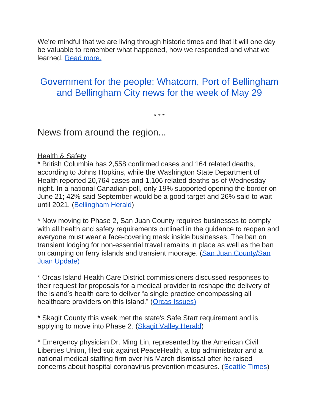We're mindful that we are living through historic times and that it will one day be valuable to remember what happened, how we responded and what we learned. [Read more.](https://salish-current.org/2020/05/29/busier-than-ever-librarians-connect-people-with-books-job-ads-even-food-during-covid-shutdown-community-voices/)

## [Government for the people: Whatcom,](https://salish-current.org/2020/05/29/government-for-the-people-whatcom-bellingham-and-port-of-bellingham-news-for-the-week-of-may-29/) Port of Bellingham [and Bellingham City news for the week of May 29](https://salish-current.org/2020/05/29/government-for-the-people-whatcom-bellingham-and-port-of-bellingham-news-for-the-week-of-may-29/)

\* \* \*

News from around the region...

#### Health & Safety

\* British Columbia has 2,558 confirmed cases and 164 related deaths, according to Johns Hopkins, while the Washington State Department of Health reported 20,764 cases and 1,106 related deaths as of Wednesday night. In a national Canadian poll, only 19% supported opening the border on June 21; 42% said September would be a good target and 26% said to wait until 2021. [\(Bellingham Herald\)](https://www.bellinghamherald.com/news/coronavirus/article243061376.html)

\* Now moving to Phase 2, San Juan County requires businesses to comply with all health and safety requirements outlined in the guidance to reopen and everyone must wear a face-covering mask inside businesses. The ban on transient lodging for non-essential travel remains in place as well as the ban on camping on ferry islands and transient moorage. [\(San Juan County/San](https://sanjuanupdate.com/2020/05/san-juan-county-granted-variance-to-move-to-phase-2/)  [Juan Update\)](https://sanjuanupdate.com/2020/05/san-juan-county-granted-variance-to-move-to-phase-2/)

\* Orcas Island Health Care District commissioners discussed responses to their request for proposals for a medical provider to reshape the delivery of the island's health care to deliver "a single practice encompassing all healthcare providers on this island." [\(Orcas Issues\)](https://orcasissues.com/health-district-considers-how-to-evaluate-proposals-for-single-orcas-clinic/)

\* Skagit County this week met the state's Safe Start requirement and is applying to move into Phase 2. [\(Skagit Valley Herald\)](https://www.goskagit.com/news/skagit-county-covid-19-numbers-fall-into-phase-2-threshold/article_75f3cd2d-fa33-5f90-9cd8-09d5ed997ed2.html)

\* Emergency physician Dr. Ming Lin, represented by the American Civil Liberties Union, filed suit against PeaceHealth, a top administrator and a national medical staffing firm over his March dismissal after he raised concerns about hospital coronavirus prevention measures. [\(Seattle Times\)](https://www.seattletimes.com/seattle-news/aclu-joins-ousted-doctor-ming-lin-in-lawsuit-against-bellingham-hospital/)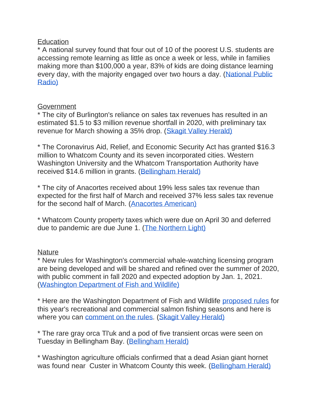#### **Education**

\* A national survey found that four out of 10 of the poorest U.S. students are accessing remote learning as little as once a week or less, while in families making more than \$100,000 a year, 83% of kids are doing distance learning every day, with the majority engaged over two hours a day. (National Public [Radio\)](https://kuow.org/stories/survey-shows-big-remote-learning-gaps-for-low-income-and-special-needs-children)

#### Government

\* The city of Burlington's reliance on sales tax revenues has resulted in an estimated \$1.5 to \$3 million revenue shortfall in 2020, with preliminary tax revenue for March showing a 35% drop. [\(Skagit Valley Herald\)](https://www.goskagit.com/news/local_news/burlington-weighing-new-taxes-cuts-amid-pandemic/article_11ffd214-dccb-5a36-824c-1e8dbf0557b8.html)

\* The Coronavirus Aid, Relief, and Economic Security Act has granted \$16.3 million to Whatcom County and its seven incorporated cities. Western Washington University and the Whatcom Transportation Authority have received \$14.6 million in grants. [\(Bellingham Herald\)](https://www.bellinghamherald.com/news/coronavirus/article242855136.html)

\* The city of Anacortes received about 19% less sales tax revenue than expected for the first half of March and received 37% less sales tax revenue for the second half of March. [\(Anacortes American\)](https://www.goskagit.com/news/business/anacortes-weathering-drop-in-sales-tax-revenue-amid-pandemic/article_c9a05b18-e2ee-57a8-a5ba-6636925db386.html)

\* Whatcom County property taxes which were due on April 30 and deferred due to pandemic are due June 1. [\(The Northern Light\)](https://www.thenorthernlight.com/stories/reminder-after-covid-19-extension-property-taxes-are-due-june-1,10573?)

#### **Nature**

\* New rules for Washington's commercial whale-watching licensing program are being developed and will be shared and refined over the summer of 2020, with public comment in fall 2020 and expected adoption by Jan. 1, 2021. [\(Washington Department of Fish and Wildlife\)](https://wdfw.wa.gov/species-habitats/at-risk/species-recovery/orca/rule-making)

\* Here are the Washington Department of Fish and Wildlife [proposed rules](http://wdfw.wa.gov/about/regulations/development#pending) for this year's recreational and commercial salmon fishing seasons and here is where you can [comment on the rules.](http://wdfw.wa.gov/fishing/management/north-falcon/public-input) [\(Skagit Valley Herald\)](https://www.goskagit.com/news/local_news/comment-period-opens-for-salmon-seasons/article_b4531be8-8cfa-5bcb-9a6c-a7588b08de2a.html?utm_medium=social&utm_source=email&utm_campaign=user-share)

\* The rare gray orca Tl'uk and a pod of five transient orcas were seen on Tuesday in Bellingham Bay. [\(Bellingham Herald\)](https://www.bellinghamherald.com/news/local/article243036226.html)

\* Washington agriculture officials confirmed that a dead Asian giant hornet was found near Custer in Whatcom County this week. [\(Bellingham Herald\)](https://www.bellinghamherald.com/news/local/article243090671.html)